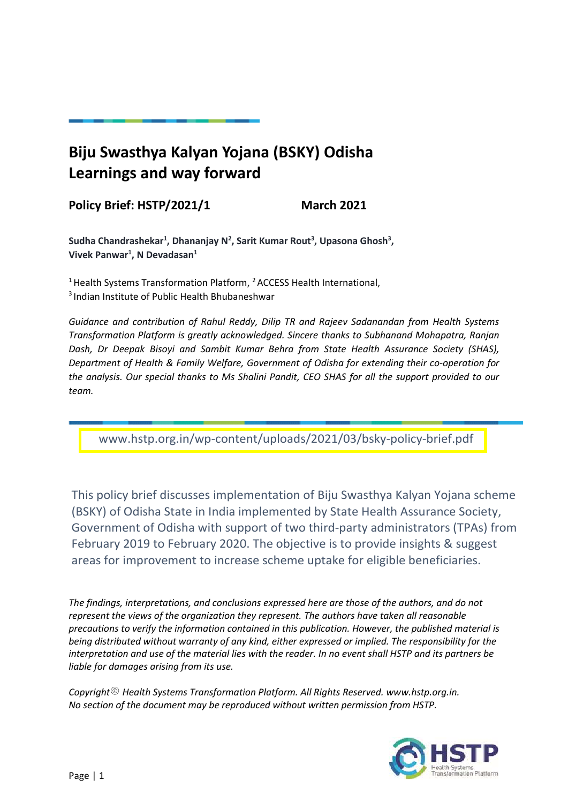# **Biju Swasthya Kalyan Yojana (BSKY) Odisha Learnings and way forward**

## **Policy Brief: HSTP/2021/1 March 2021**

Sudha Chandrashekar<sup>1</sup>, Dhananjay N<sup>2</sup>, Sarit Kumar Rout<sup>3</sup>, Upasona Ghosh<sup>3</sup>, **Vivek Panwar<sup>1</sup> , N Devadasan 1**

 $<sup>1</sup>$  Health Systems Transformation Platform,  $<sup>2</sup>$  ACCESS Health International,</sup></sup> <sup>3</sup> Indian Institute of Public Health Bhubaneshwar

*Guidance and contribution of Rahul Reddy, Dilip TR and Rajeev Sadanandan from Health Systems Transformation Platform is greatly acknowledged. Sincere thanks to Subhanand Mohapatra, Ranjan Dash, Dr Deepak Bisoyi and Sambit Kumar Behra from State Health Assurance Society (SHAS), Department of Health & Family Welfare, Government of Odisha for extending their co-operation for the analysis. Our special thanks to Ms Shalini Pandit, CEO SHAS for all the support provided to our team.* 

<www.hstp.org.in/wp-content/uploads/2021/03/bsky-policy-brief.pdf>

This policy brief discusses implementation of Biju Swasthya Kalyan Yojana scheme (BSKY) of Odisha State in India implemented by State Health Assurance Society, Government of Odisha with support of two third-party administrators (TPAs) from February 2019 to February 2020. The objective is to provide insights & suggest areas for improvement to increase scheme uptake for eligible beneficiaries.

*The findings, interpretations, and conclusions expressed here are those of the authors, and do not represent the views of the organization they represent. The authors have taken all reasonable precautions to verify the information contained in this publication. However, the published material is being distributed without warranty of any kind, either expressed or implied. The responsibility for the interpretation and use of the material lies with the reader. In no event shall HSTP and its partners be liable for damages arising from its use.*

*Copyright Health Systems Transformation Platform. All Rights Reserved. www.hstp.org.in. No section of the document may be reproduced without written permission from HSTP.*

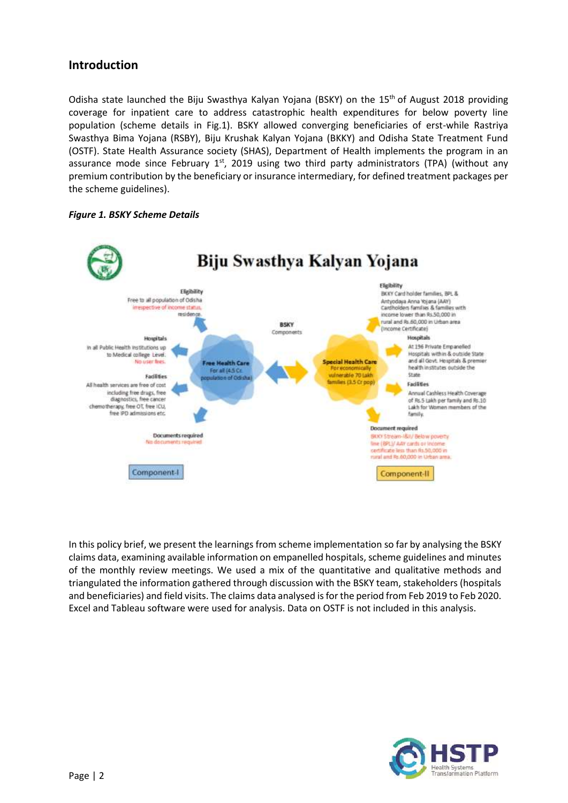### **Introduction**

Odisha state launched the Biju Swasthya Kalyan Yojana (BSKY) on the 15<sup>th</sup> of August 2018 providing coverage for inpatient care to address catastrophic health expenditures for below poverty line population (scheme details in Fig.1). BSKY allowed converging beneficiaries of erst-while Rastriya Swasthya Bima Yojana (RSBY), Biju Krushak Kalyan Yojana (BKKY) and Odisha State Treatment Fund (OSTF). State Health Assurance society (SHAS), Department of Health implements the program in an assurance mode since February  $1<sup>st</sup>$ , 2019 using two third party administrators (TPA) (without any premium contribution by the beneficiary or insurance intermediary, for defined treatment packages per the scheme guidelines).





In this policy brief, we present the learnings from scheme implementation so far by analysing the BSKY claims data, examining available information on empanelled hospitals, scheme guidelines and minutes of the monthly review meetings. We used a mix of the quantitative and qualitative methods and triangulated the information gathered through discussion with the BSKY team, stakeholders (hospitals and beneficiaries) and field visits. The claims data analysed is for the period from Feb 2019 to Feb 2020. Excel and Tableau software were used for analysis. Data on OSTF is not included in this analysis.

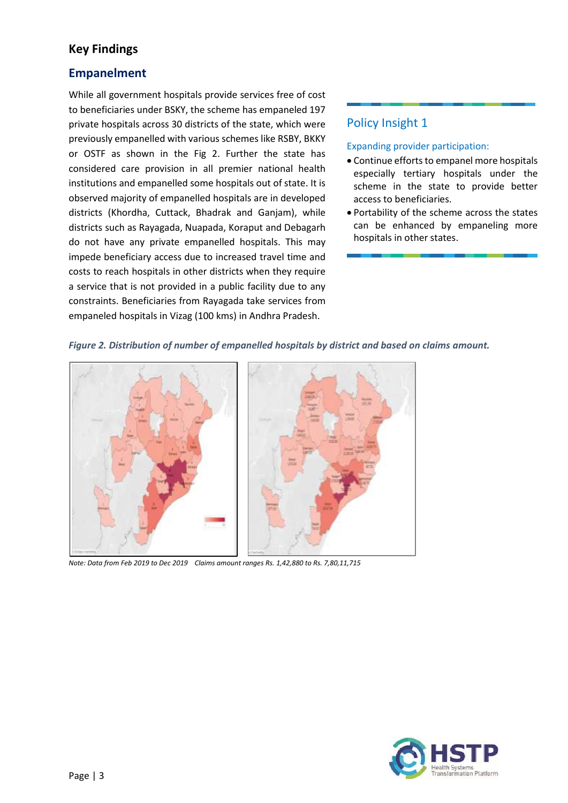### **Key Findings**

### **Empanelment**

While all government hospitals provide services free of cost to beneficiaries under BSKY, the scheme has empaneled 197 private hospitals across 30 districts of the state, which were previously empanelled with various schemes like RSBY, BKKY or OSTF as shown in the Fig 2. Further the state has considered care provision in all premier national health institutions and empanelled some hospitals out of state. It is observed majority of empanelled hospitals are in developed districts (Khordha, Cuttack, Bhadrak and Ganjam), while districts such as Rayagada, Nuapada, Koraput and Debagarh do not have any private empanelled hospitals. This may impede beneficiary access due to increased travel time and costs to reach hospitals in other districts when they require a service that is not provided in a public facility due to any constraints. Beneficiaries from Rayagada take services from empaneled hospitals in Vizag (100 kms) in Andhra Pradesh.

### Policy Insight 1

#### Expanding provider participation:

- Continue efforts to empanel more hospitals especially tertiary hospitals under the scheme in the state to provide better access to beneficiaries.
- Portability of the scheme across the states can be enhanced by empaneling more hospitals in other states.



*Figure 2. Distribution of number of empanelled hospitals by district and based on claims amount.*

*Note: Data from Feb 2019 to Dec 2019 Claims amount ranges Rs. 1,42,880 to Rs. 7,80,11,715*

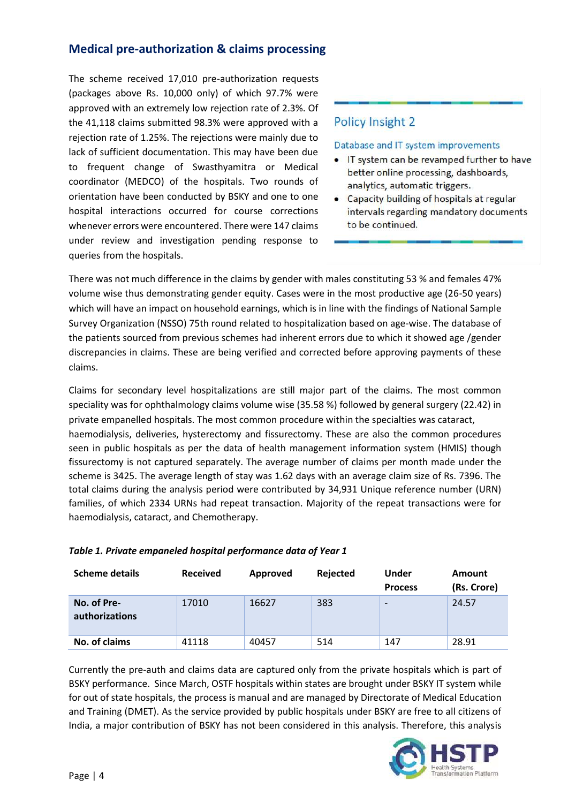### **Medical pre-authorization & claims processing**

The scheme received 17,010 pre-authorization requests (packages above Rs. 10,000 only) of which 97.7% were approved with an extremely low rejection rate of 2.3%. Of the 41,118 claims submitted 98.3% were approved with a rejection rate of 1.25%. The rejections were mainly due to lack of sufficient documentation. This may have been due to frequent change of Swasthyamitra or Medical coordinator (MEDCO) of the hospitals. Two rounds of orientation have been conducted by BSKY and one to one hospital interactions occurred for course corrections whenever errors were encountered. There were 147 claims under review and investigation pending response to queries from the hospitals.

### Policy Insight 2

#### Database and IT system improvements

- IT system can be revamped further to have better online processing, dashboards, analytics, automatic triggers.
- Capacity building of hospitals at regular intervals regarding mandatory documents to be continued.

There was not much difference in the claims by gender with males constituting 53 % and females 47% volume wise thus demonstrating gender equity. Cases were in the most productive age (26-50 years) which will have an impact on household earnings, which is in line with the findings of National Sample Survey Organization (NSSO) 75th round related to hospitalization based on age-wise. The database of the patients sourced from previous schemes had inherent errors due to which it showed age /gender discrepancies in claims. These are being verified and corrected before approving payments of these claims.

Claims for secondary level hospitalizations are still major part of the claims. The most common speciality was for ophthalmology claims volume wise (35.58 %) followed by general surgery (22.42) in private empanelled hospitals. The most common procedure within the specialties was cataract, haemodialysis, deliveries, hysterectomy and fissurectomy. These are also the common procedures seen in public hospitals as per the data of health management information system (HMIS) though fissurectomy is not captured separately. The average number of claims per month made under the scheme is 3425. The average length of stay was 1.62 days with an average claim size of Rs. 7396. The total claims during the analysis period were contributed by 34,931 Unique reference number (URN) families, of which 2334 URNs had repeat transaction. Majority of the repeat transactions were for haemodialysis, cataract, and Chemotherapy.

| <b>Scheme details</b>         | <b>Received</b> | Approved | Rejected | <b>Under</b><br><b>Process</b> | Amount<br>(Rs. Crore) |
|-------------------------------|-----------------|----------|----------|--------------------------------|-----------------------|
| No. of Pre-<br>authorizations | 17010           | 16627    | 383      |                                | 24.57                 |
| No. of claims                 | 41118           | 40457    | 514      | 147                            | 28.91                 |

#### *Table 1. Private empaneled hospital performance data of Year 1*

Currently the pre-auth and claims data are captured only from the private hospitals which is part of BSKY performance. Since March, OSTF hospitals within states are brought under BSKY IT system while for out of state hospitals, the process is manual and are managed by Directorate of Medical Education and Training (DMET). As the service provided by public hospitals under BSKY are free to all citizens of India, a major contribution of BSKY has not been considered in this analysis. Therefore, this analysis

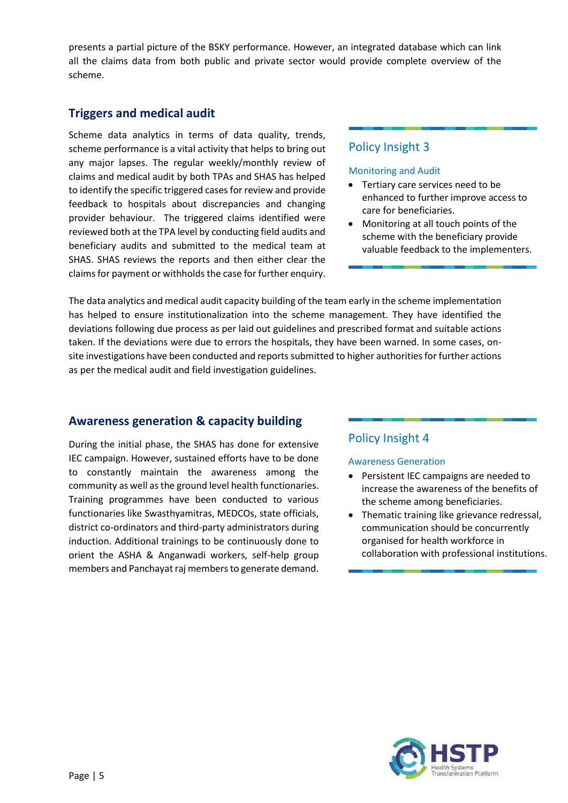presents a partial picture of the BSKY performance. However, an integrated database which can link all the claims data from both public and private sector would provide complete overview of the scheme.

### **Triggers and medical audit**

Scheme data analytics in terms of data quality, trends, scheme performance is a vital activity that helps to bring out any major lapses. The regular weekly/monthly review of claims and medical audit by both TPAs and SHAS has helped to identify the specific triggered cases for review and provide feedback to hospitals about discrepancies and changing provider behaviour. The triggered claims identified were reviewed both at the TPA level by conducting field audits and beneficiary audits and submitted to the medical team at SHAS. SHAS reviews the reports and then either clear the claims for payment or withholds the case for further enquiry.

#### Policy Insight 3

#### Monitoring and Audit

- Tertiary care services need to be enhanced to further improve access to care for beneficiaries.
- Monitoring at all touch points of the scheme with the beneficiary provide valuable feedback to the implementers.

The data analytics and medical audit capacity building of the team early in the scheme implementation has helped to ensure institutionalization into the scheme management. They have identified the deviations following due process as per laid out guidelines and prescribed format and suitable actions taken. If the deviations were due to errors the hospitals, they have been warned. In some cases, onsite investigations have been conducted and reports submitted to higher authorities for further actions as per the medical audit and field investigation guidelines.

#### **Awareness generation & capacity building**

During the initial phase, the SHAS has done for extensive IEC campaign. However, sustained efforts have to be done to constantly maintain the awareness among the community as well as the ground level health functionaries. Training programmes have been conducted to various functionaries like Swasthyamitras, MEDCOs, state officials, district co-ordinators and third-party administrators during induction. Additional trainings to be continuously done to orient the ASHA & Anganwadi workers, self-help group members and Panchayat raj members to generate demand.

### Policy Insight 4

#### Awareness Generation

- Persistent IEC campaigns are needed to increase the awareness of the benefits of the scheme among beneficiaries.
- Thematic training like grievance redressal, communication should be concurrently organised for health workforce in collaboration with professional institutions.